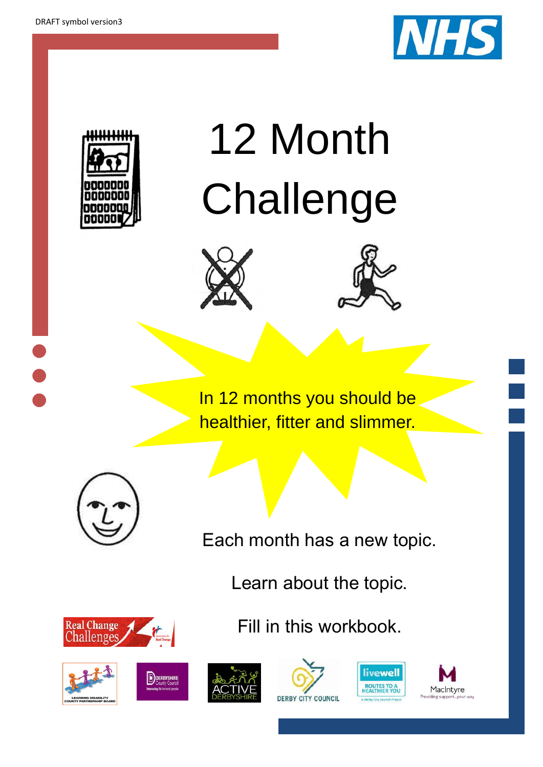



# 12 Month Challenge





In 12 months you should be healthier, fitter and slimmer.



Each month has a new topic.

Learn about the topic.

Fill in this workbook.

Real Change<br>Challenges 









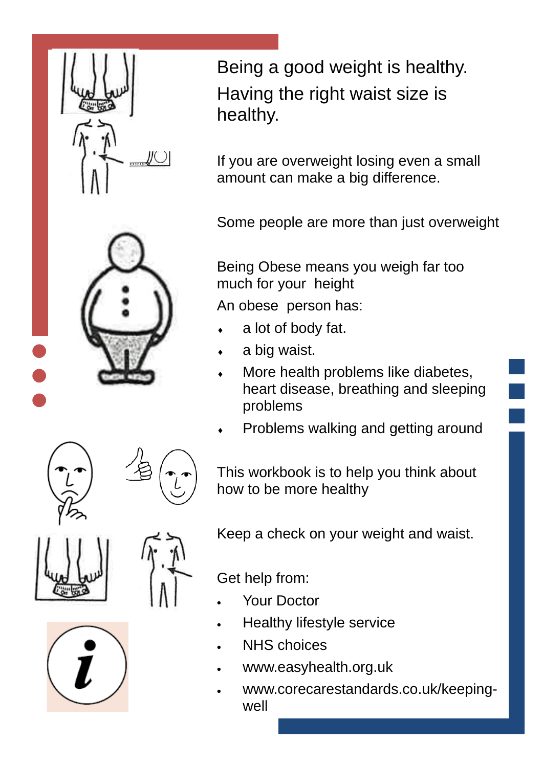

Being a good weight is healthy. Having the right waist size is healthy.

If you are overweight losing even a small amount can make a big difference.

Some people are more than just overweight

Being Obese means you weigh far too much for your height

An obese person has:

- a lot of body fat.
- a big waist.
- More health problems like diabetes, heart disease, breathing and sleeping problems
- Problems walking and getting around

This workbook is to help you think about how to be more healthy



Keep a check on your weight and waist.

Get help from:

- Your Doctor
- Healthy lifestyle service
- NHS choices
- www.easyhealth.org.uk
- www.corecarestandards.co.uk/keepingwell

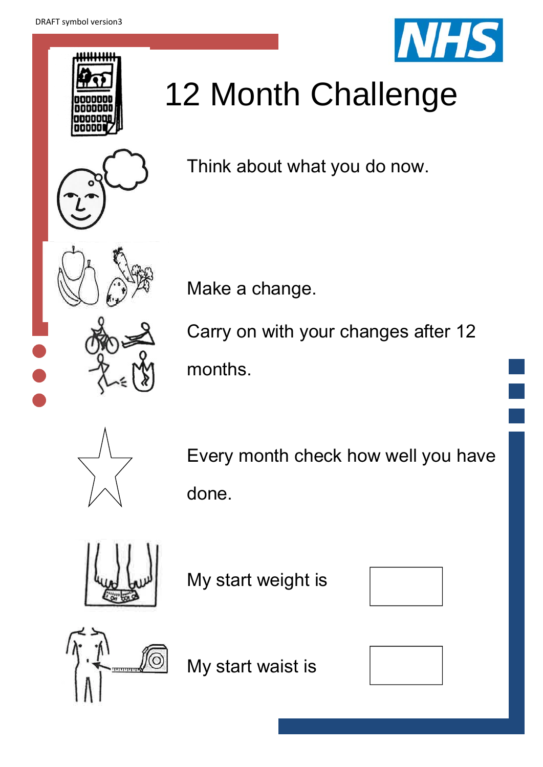





## 12 Month Challenge

Think about what you do now.

Make a change.

Carry on with your changes after 12 months.



Every month check how well you have done.



My start weight is





My start waist is

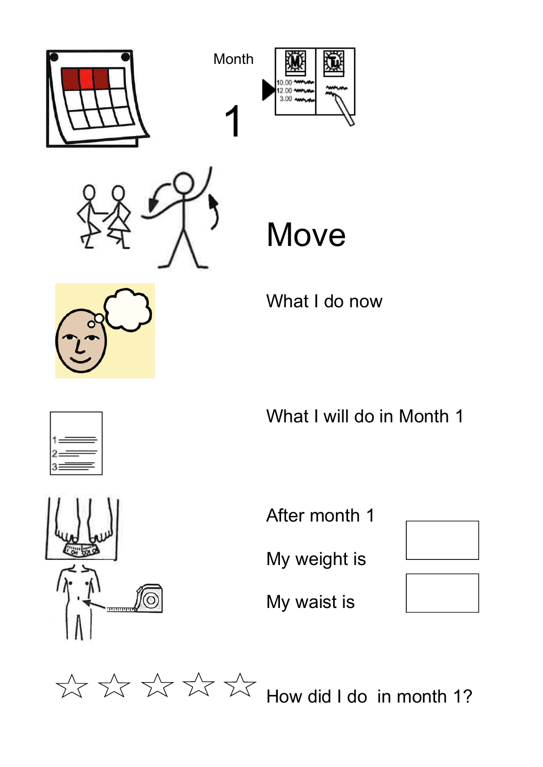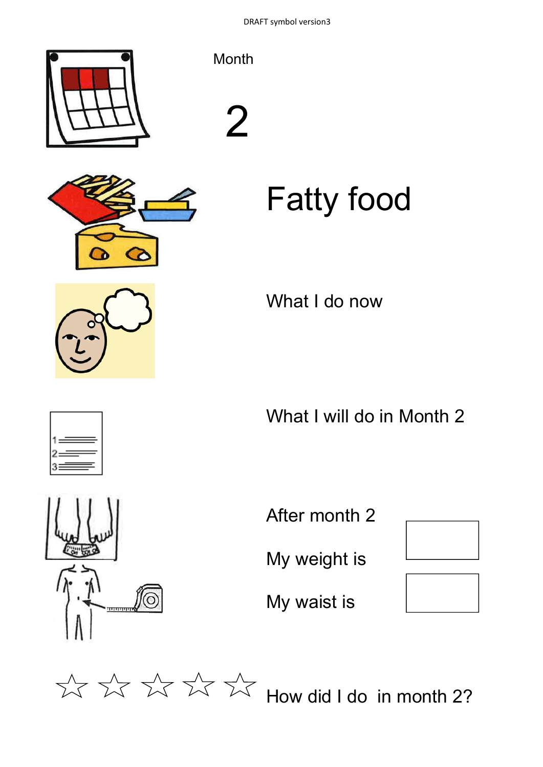DRAFT symbol version3





What I do now

What I will do in Month 2



After month 2

My weight is

My waist is



 $\frac{1}{2}$   $\frac{1}{2}$   $\frac{1}{2}$   $\frac{1}{2}$   $\frac{1}{2}$   $\frac{1}{2}$  How did I do in month 2?

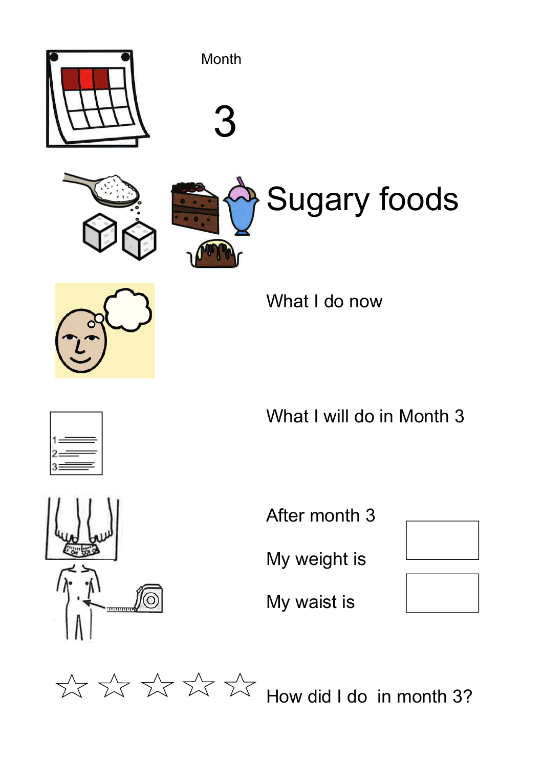





# Sugary foods



What I do now



What I will do in Month 3



After month 3

My weight is

My waist is



 $\frac{1}{2}$   $\frac{1}{2}$   $\frac{1}{2}$   $\frac{1}{2}$   $\frac{1}{2}$   $\frac{1}{2}$  How did I do in month 3?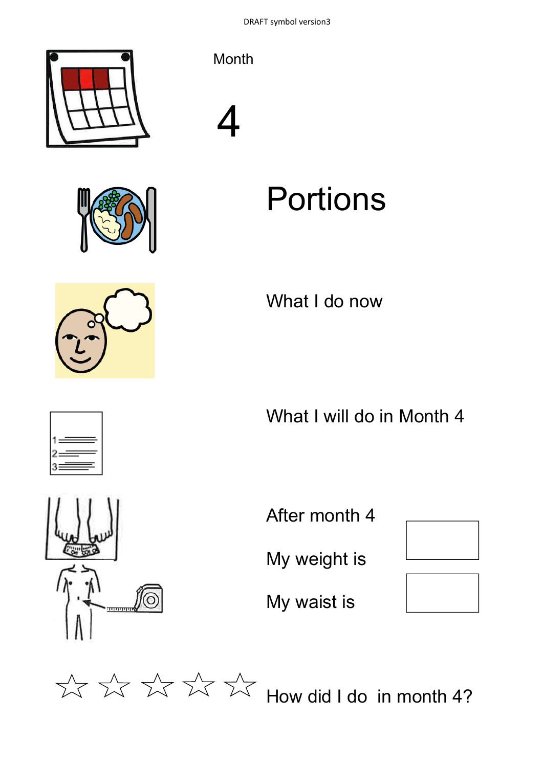





### Portions

What I do now

What I will do in Month 4



After month 4

My weight is

My waist is



 $\frac{1}{2}$   $\frac{1}{2}$   $\frac{1}{2}$   $\frac{1}{2}$   $\frac{1}{2}$   $\frac{1}{2}$  How did I do in month 4?





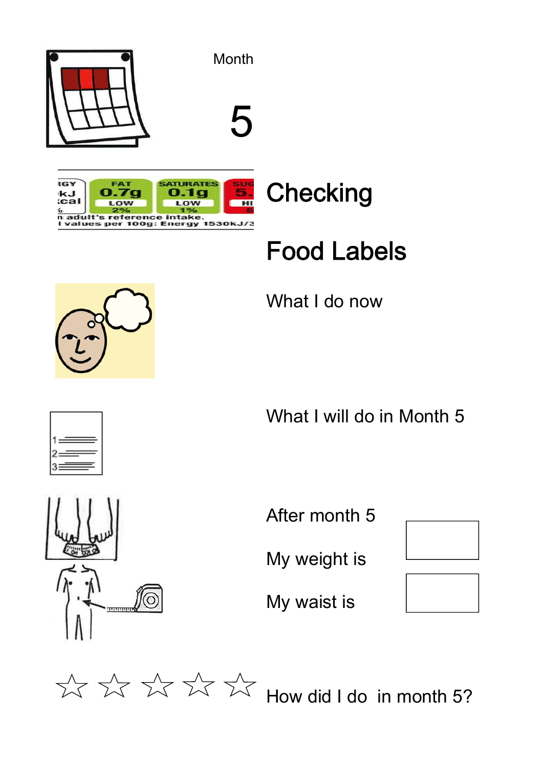

### Food Labels

What I do now





What I will do in Month 5



My weight is

My waist is





⊙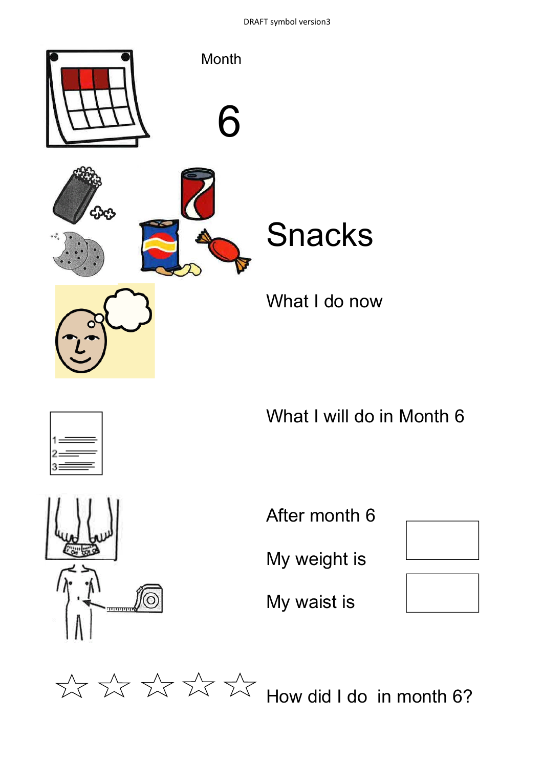DRAFT symbol version3





What I will do in Month 6



After month 6

My weight is

My waist is



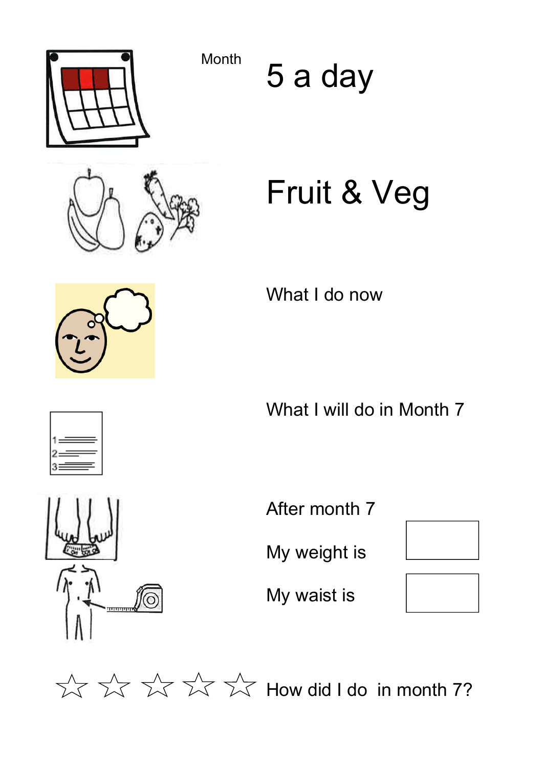Month 5 a day

## Fruit & Veg

What I do now

What I will do in Month 7

After month 7

My weight is

My waist is



 $\frac{1}{2}$   $\frac{1}{2}$   $\frac{1}{2}$   $\frac{1}{2}$   $\frac{1}{2}$   $\frac{1}{2}$  How did I do in month 7?









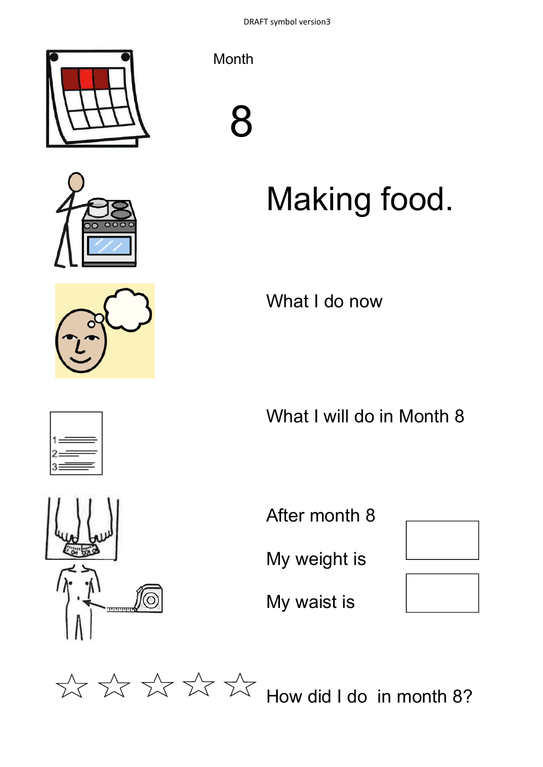





# Making food.

What I do now

What I will do in Month 8

ତି  $\overline{m}$ 

After month 8

My weight is

My waist is



 $\frac{1}{2}$   $\frac{1}{2}$   $\frac{1}{2}$   $\frac{1}{2}$   $\frac{1}{2}$   $\frac{1}{2}$  How did I do in month 8?



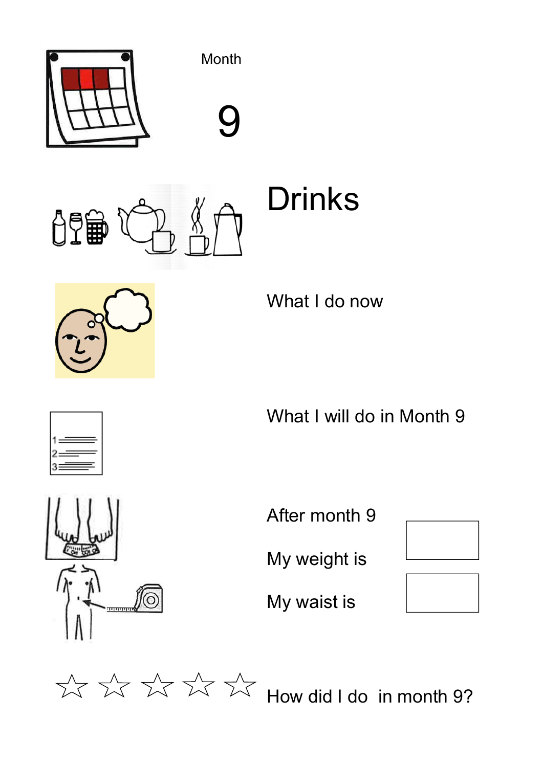

的重

Drinks



What I do now

What I will do in Month 9



After month 9

My weight is

My waist is



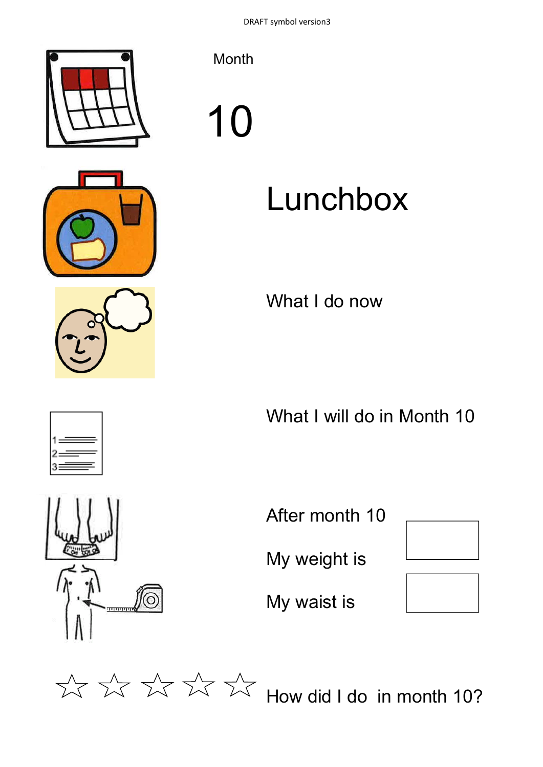



# 10

## Lunchbox

What I do now

What I will do in Month 10



After month 10 My weight is My waist is



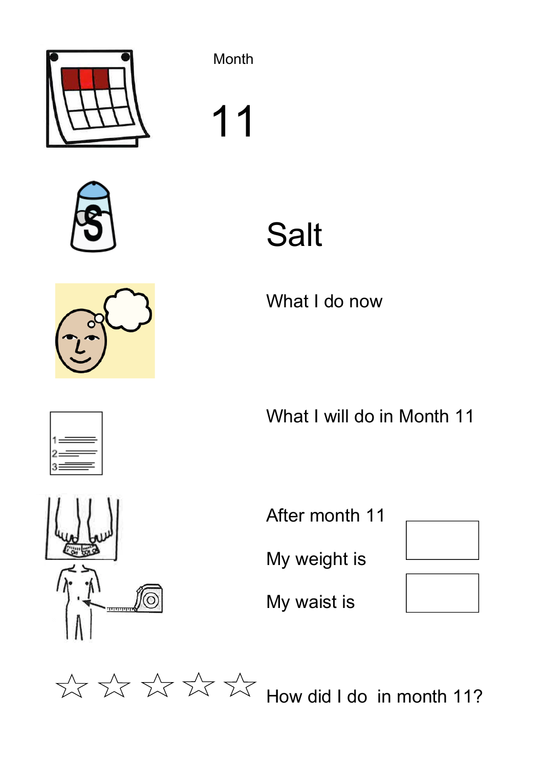

11



What I do now

What I will do in Month 11

After month 11

My weight is

My waist is



 $\frac{1}{2}$   $\frac{1}{2}$   $\frac{1}{2}$   $\frac{1}{2}$   $\frac{1}{2}$  How did I do in month 11?





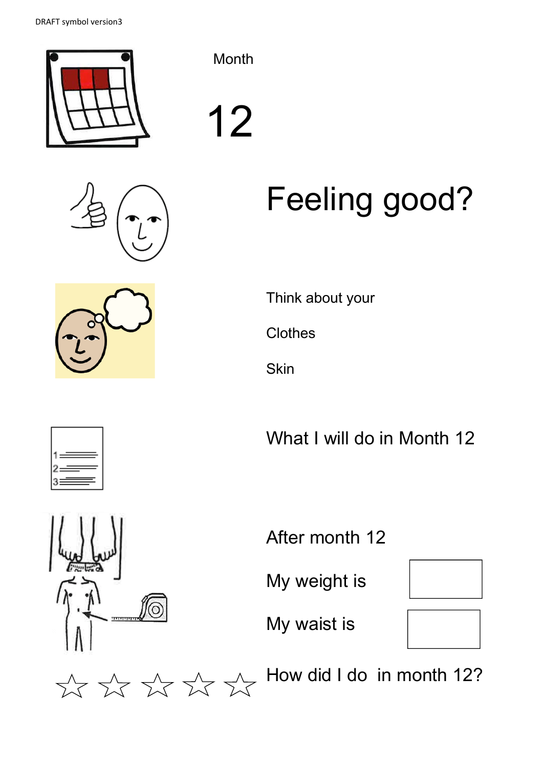



12

# Feeling good?

Think about your

**Clothes** 

**Skin** 

What I will do in Month 12



After month 12

My weight is



My waist is





How did I do in month 12?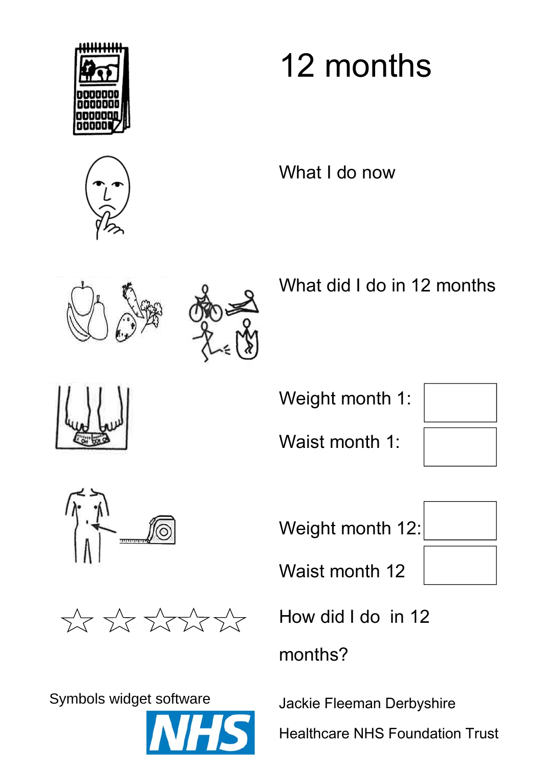



## 12 months

What I do now





What did I do in 12 months

Weight month 1:

Waist month 1:





Symbols widget software Jackie Fleeman Derbyshire



Weight month 12:

Waist month 12



How did I do in 12

months?

Healthcare NHS Foundation Trust